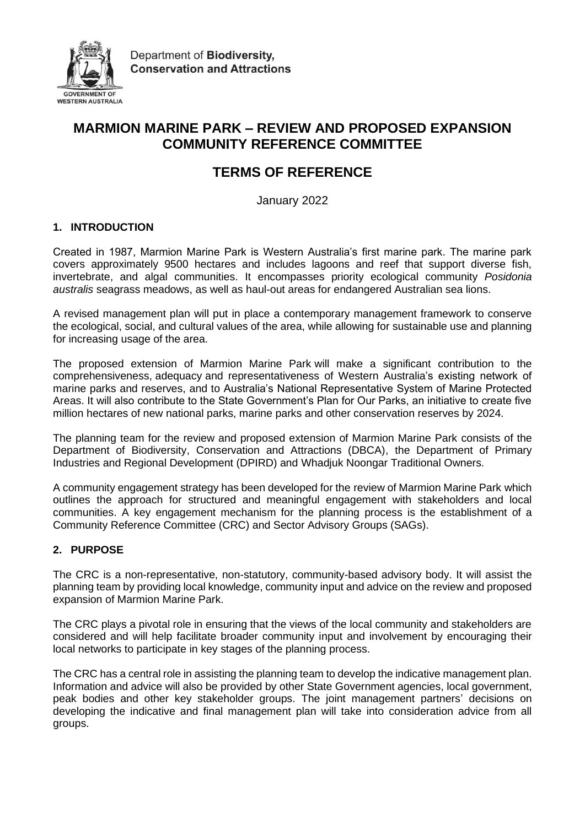

# **MARMION MARINE PARK – REVIEW AND PROPOSED EXPANSION COMMUNITY REFERENCE COMMITTEE**

# **TERMS OF REFERENCE**

January 2022

# **1. INTRODUCTION**

Created in 1987, Marmion Marine Park is Western Australia's first marine park. The marine park covers approximately 9500 hectares and includes lagoons and reef that support diverse fish, invertebrate, and algal communities. It encompasses priority ecological community *Posidonia australis* seagrass meadows, as well as haul-out areas for endangered Australian sea lions.

A revised management plan will put in place a contemporary management framework to conserve the ecological, social, and cultural values of the area, while allowing for sustainable use and planning for increasing usage of the area.

The proposed extension of Marmion Marine Park will make a significant contribution to the comprehensiveness, adequacy and representativeness of Western Australia's existing network of marine parks and reserves, and to Australia's National Representative System of Marine Protected Areas. It will also contribute to the State Government's Plan for Our Parks, an initiative to create five million hectares of new national parks, marine parks and other conservation reserves by 2024.

The planning team for the review and proposed extension of Marmion Marine Park consists of the Department of Biodiversity, Conservation and Attractions (DBCA), the Department of Primary Industries and Regional Development (DPIRD) and Whadjuk Noongar Traditional Owners.

A community engagement strategy has been developed for the review of Marmion Marine Park which outlines the approach for structured and meaningful engagement with stakeholders and local communities. A key engagement mechanism for the planning process is the establishment of a Community Reference Committee (CRC) and Sector Advisory Groups (SAGs).

# **2. PURPOSE**

The CRC is a non-representative, non-statutory, community-based advisory body. It will assist the planning team by providing local knowledge, community input and advice on the review and proposed expansion of Marmion Marine Park.

The CRC plays a pivotal role in ensuring that the views of the local community and stakeholders are considered and will help facilitate broader community input and involvement by encouraging their local networks to participate in key stages of the planning process.

The CRC has a central role in assisting the planning team to develop the indicative management plan. Information and advice will also be provided by other State Government agencies, local government, peak bodies and other key stakeholder groups. The joint management partners' decisions on developing the indicative and final management plan will take into consideration advice from all groups.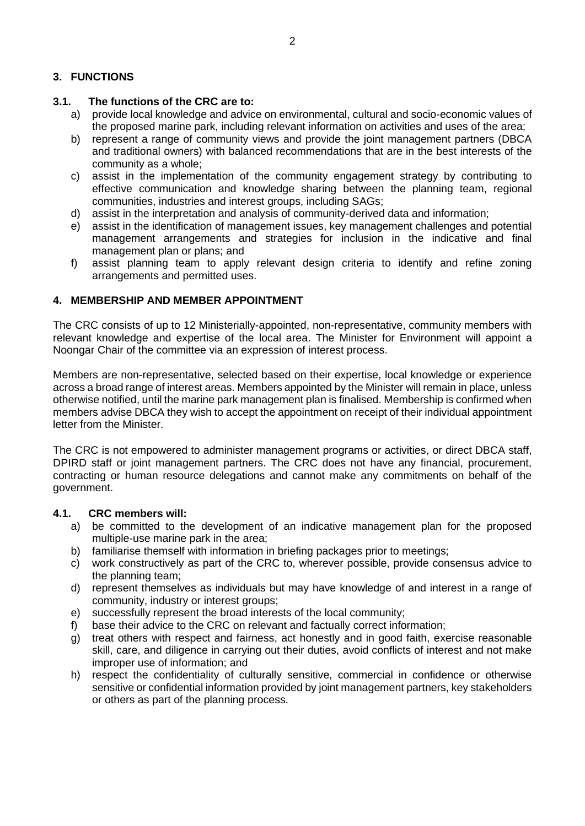## **3. FUNCTIONS**

## **3.1. The functions of the CRC are to:**

- a) provide local knowledge and advice on environmental, cultural and socio-economic values of the proposed marine park, including relevant information on activities and uses of the area;
- b) represent a range of community views and provide the joint management partners (DBCA and traditional owners) with balanced recommendations that are in the best interests of the community as a whole;
- c) assist in the implementation of the community engagement strategy by contributing to effective communication and knowledge sharing between the planning team, regional communities, industries and interest groups, including SAGs;
- d) assist in the interpretation and analysis of community-derived data and information;
- e) assist in the identification of management issues, key management challenges and potential management arrangements and strategies for inclusion in the indicative and final management plan or plans; and
- f) assist planning team to apply relevant design criteria to identify and refine zoning arrangements and permitted uses.

## **4. MEMBERSHIP AND MEMBER APPOINTMENT**

The CRC consists of up to 12 Ministerially-appointed, non-representative, community members with relevant knowledge and expertise of the local area. The Minister for Environment will appoint a Noongar Chair of the committee via an expression of interest process.

Members are non-representative, selected based on their expertise, local knowledge or experience across a broad range of interest areas. Members appointed by the Minister will remain in place, unless otherwise notified, until the marine park management plan is finalised. Membership is confirmed when members advise DBCA they wish to accept the appointment on receipt of their individual appointment letter from the Minister.

The CRC is not empowered to administer management programs or activities, or direct DBCA staff, DPIRD staff or joint management partners. The CRC does not have any financial, procurement, contracting or human resource delegations and cannot make any commitments on behalf of the government.

## **4.1. CRC members will:**

- a) be committed to the development of an indicative management plan for the proposed multiple-use marine park in the area;
- b) familiarise themself with information in briefing packages prior to meetings;
- c) work constructively as part of the CRC to, wherever possible, provide consensus advice to the planning team;
- d) represent themselves as individuals but may have knowledge of and interest in a range of community, industry or interest groups;
- e) successfully represent the broad interests of the local community;
- f) base their advice to the CRC on relevant and factually correct information;
- g) treat others with respect and fairness, act honestly and in good faith, exercise reasonable skill, care, and diligence in carrying out their duties, avoid conflicts of interest and not make improper use of information; and
- h) respect the confidentiality of culturally sensitive, commercial in confidence or otherwise sensitive or confidential information provided by joint management partners, key stakeholders or others as part of the planning process.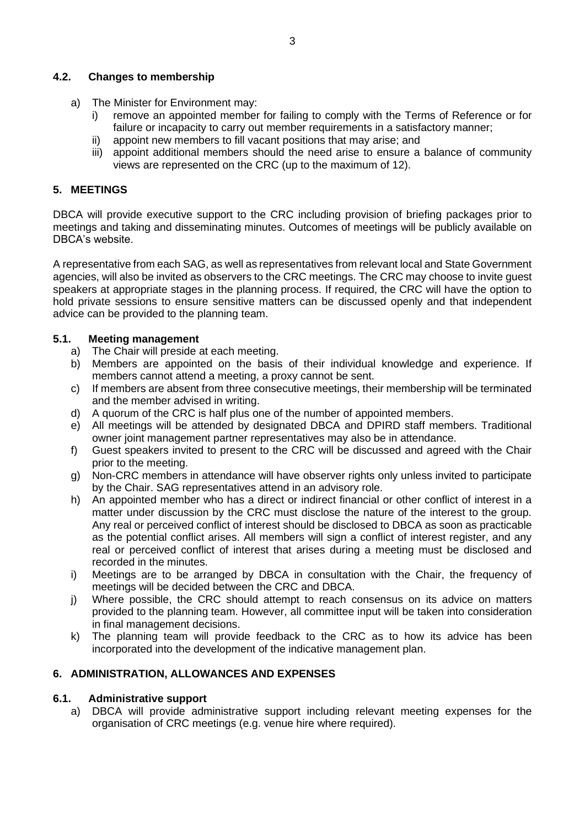#### **4.2. Changes to membership**

- a) The Minister for Environment may:
	- i) remove an appointed member for failing to comply with the Terms of Reference or for failure or incapacity to carry out member requirements in a satisfactory manner;
	- ii) appoint new members to fill vacant positions that may arise; and
	- iii) appoint additional members should the need arise to ensure a balance of community views are represented on the CRC (up to the maximum of 12).

## **5. MEETINGS**

DBCA will provide executive support to the CRC including provision of briefing packages prior to meetings and taking and disseminating minutes. Outcomes of meetings will be publicly available on DBCA's website.

A representative from each SAG, as well as representatives from relevant local and State Government agencies, will also be invited as observers to the CRC meetings. The CRC may choose to invite guest speakers at appropriate stages in the planning process. If required, the CRC will have the option to hold private sessions to ensure sensitive matters can be discussed openly and that independent advice can be provided to the planning team.

## **5.1. Meeting management**

- a) The Chair will preside at each meeting.
- b) Members are appointed on the basis of their individual knowledge and experience. If members cannot attend a meeting, a proxy cannot be sent.
- c) If members are absent from three consecutive meetings, their membership will be terminated and the member advised in writing.
- d) A quorum of the CRC is half plus one of the number of appointed members.
- e) All meetings will be attended by designated DBCA and DPIRD staff members. Traditional owner joint management partner representatives may also be in attendance.
- f) Guest speakers invited to present to the CRC will be discussed and agreed with the Chair prior to the meeting.
- g) Non-CRC members in attendance will have observer rights only unless invited to participate by the Chair. SAG representatives attend in an advisory role.
- h) An appointed member who has a direct or indirect financial or other conflict of interest in a matter under discussion by the CRC must disclose the nature of the interest to the group. Any real or perceived conflict of interest should be disclosed to DBCA as soon as practicable as the potential conflict arises. All members will sign a conflict of interest register, and any real or perceived conflict of interest that arises during a meeting must be disclosed and recorded in the minutes.
- i) Meetings are to be arranged by DBCA in consultation with the Chair, the frequency of meetings will be decided between the CRC and DBCA.
- j) Where possible, the CRC should attempt to reach consensus on its advice on matters provided to the planning team. However, all committee input will be taken into consideration in final management decisions.
- k) The planning team will provide feedback to the CRC as to how its advice has been incorporated into the development of the indicative management plan.

## **6. ADMINISTRATION, ALLOWANCES AND EXPENSES**

## **6.1. Administrative support**

a) DBCA will provide administrative support including relevant meeting expenses for the organisation of CRC meetings (e.g. venue hire where required).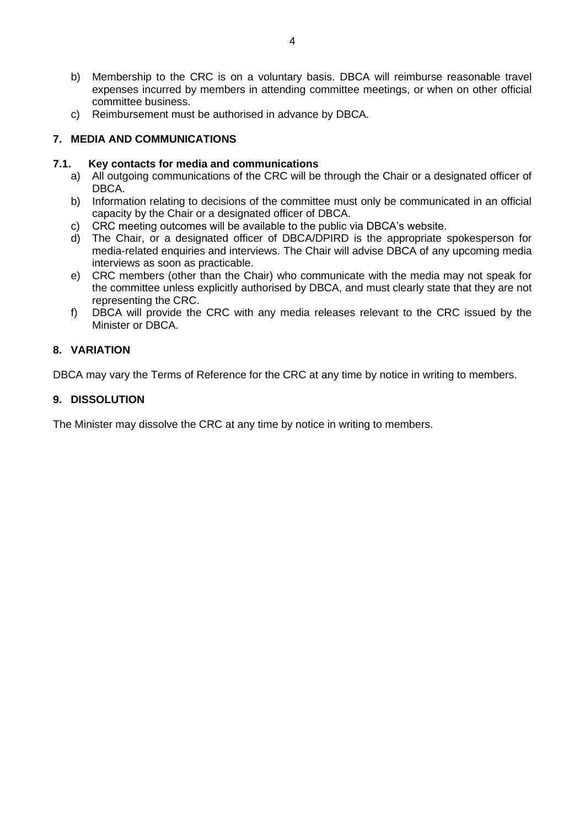- b) Membership to the CRC is on a voluntary basis. DBCA will reimburse reasonable travel expenses incurred by members in attending committee meetings, or when on other official committee business.
- c) Reimbursement must be authorised in advance by DBCA.

# **7. MEDIA AND COMMUNICATIONS**

## **7.1. Key contacts for media and communications**

- a) All outgoing communications of the CRC will be through the Chair or a designated officer of DBCA.
- b) Information relating to decisions of the committee must only be communicated in an official capacity by the Chair or a designated officer of DBCA.
- c) CRC meeting outcomes will be available to the public via DBCA's website.
- d) The Chair, or a designated officer of DBCA/DPIRD is the appropriate spokesperson for media-related enquiries and interviews. The Chair will advise DBCA of any upcoming media interviews as soon as practicable.
- e) CRC members (other than the Chair) who communicate with the media may not speak for the committee unless explicitly authorised by DBCA, and must clearly state that they are not representing the CRC.
- f) DBCA will provide the CRC with any media releases relevant to the CRC issued by the Minister or DBCA.

## **8. VARIATION**

DBCA may vary the Terms of Reference for the CRC at any time by notice in writing to members.

## **9. DISSOLUTION**

The Minister may dissolve the CRC at any time by notice in writing to members.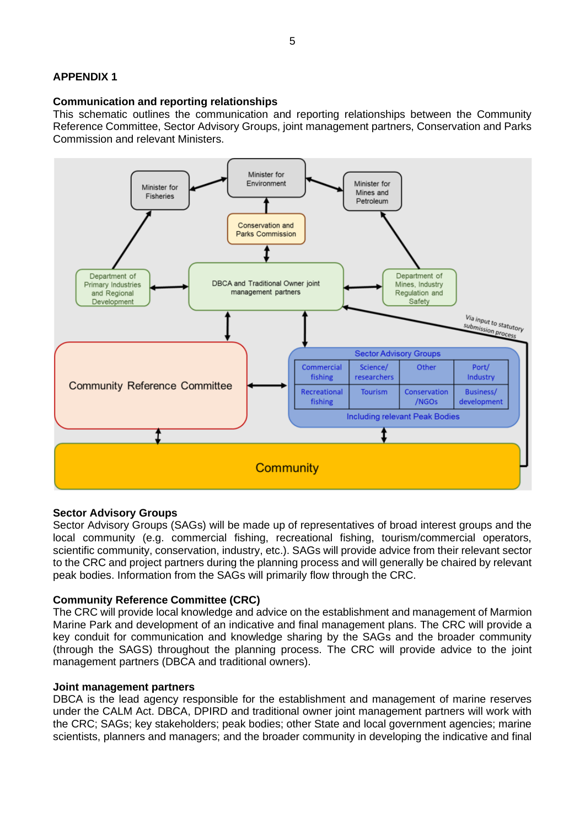## **APPENDIX 1**

#### **Communication and reporting relationships**

This schematic outlines the communication and reporting relationships between the Community Reference Committee, Sector Advisory Groups, joint management partners, Conservation and Parks Commission and relevant Ministers.



## **Sector Advisory Groups**

Sector Advisory Groups (SAGs) will be made up of representatives of broad interest groups and the local community (e.g. commercial fishing, recreational fishing, tourism/commercial operators, scientific community, conservation, industry, etc.). SAGs will provide advice from their relevant sector to the CRC and project partners during the planning process and will generally be chaired by relevant peak bodies. Information from the SAGs will primarily flow through the CRC.

## **Community Reference Committee (CRC)**

The CRC will provide local knowledge and advice on the establishment and management of Marmion Marine Park and development of an indicative and final management plans. The CRC will provide a key conduit for communication and knowledge sharing by the SAGs and the broader community (through the SAGS) throughout the planning process. The CRC will provide advice to the joint management partners (DBCA and traditional owners).

#### **Joint management partners**

DBCA is the lead agency responsible for the establishment and management of marine reserves under the CALM Act. DBCA, DPIRD and traditional owner joint management partners will work with the CRC; SAGs; key stakeholders; peak bodies; other State and local government agencies; marine scientists, planners and managers; and the broader community in developing the indicative and final